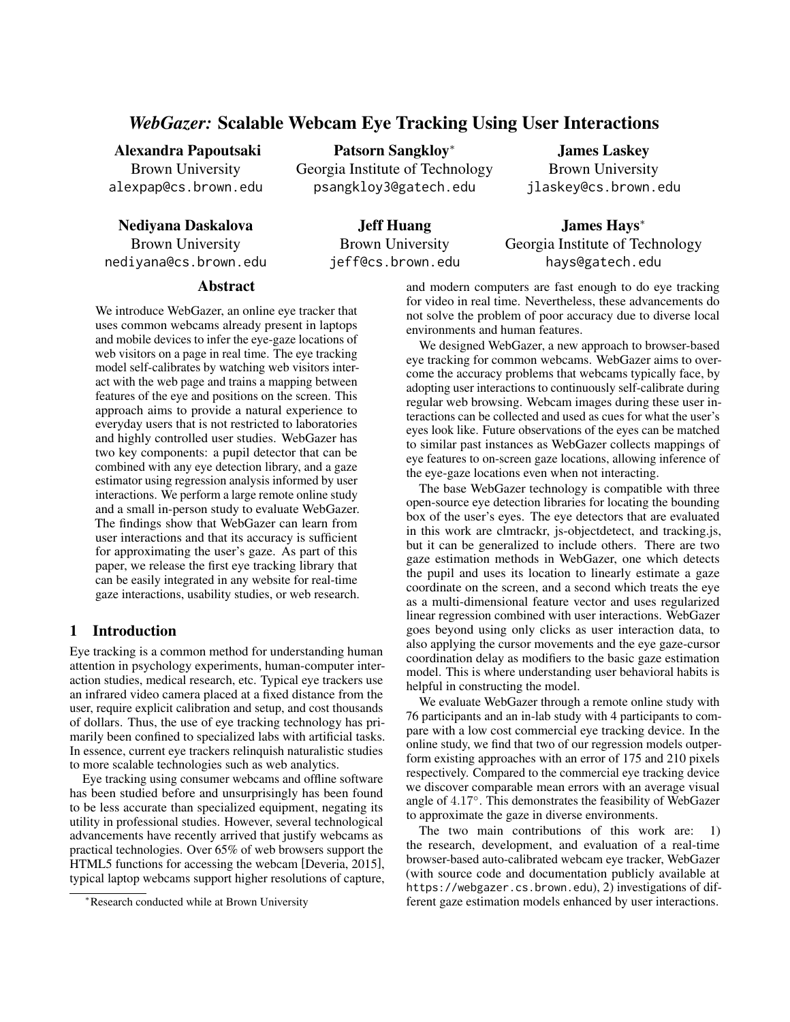# *WebGazer:* Scalable Webcam Eye Tracking Using User Interactions

### Alexandra Papoutsaki

Brown University alexpap@cs.brown.edu

Nediyana Daskalova

Brown University nediyana@cs.brown.edu Patsorn Sangkloy<sup>∗</sup>

Georgia Institute of Technology psangkloy3@gatech.edu

James Laskey Brown University jlaskey@cs.brown.edu

Jeff Huang Brown University

jeff@cs.brown.edu

James Hays<sup>∗</sup> Georgia Institute of Technology hays@gatech.edu

## Abstract

We introduce WebGazer, an online eye tracker that uses common webcams already present in laptops and mobile devices to infer the eye-gaze locations of web visitors on a page in real time. The eye tracking model self-calibrates by watching web visitors interact with the web page and trains a mapping between features of the eye and positions on the screen. This approach aims to provide a natural experience to everyday users that is not restricted to laboratories and highly controlled user studies. WebGazer has two key components: a pupil detector that can be combined with any eye detection library, and a gaze estimator using regression analysis informed by user interactions. We perform a large remote online study and a small in-person study to evaluate WebGazer. The findings show that WebGazer can learn from user interactions and that its accuracy is sufficient for approximating the user's gaze. As part of this paper, we release the first eye tracking library that can be easily integrated in any website for real-time gaze interactions, usability studies, or web research.

## 1 Introduction

Eye tracking is a common method for understanding human attention in psychology experiments, human-computer interaction studies, medical research, etc. Typical eye trackers use an infrared video camera placed at a fixed distance from the user, require explicit calibration and setup, and cost thousands of dollars. Thus, the use of eye tracking technology has primarily been confined to specialized labs with artificial tasks. In essence, current eye trackers relinquish naturalistic studies to more scalable technologies such as web analytics.

Eye tracking using consumer webcams and offline software has been studied before and unsurprisingly has been found to be less accurate than specialized equipment, negating its utility in professional studies. However, several technological advancements have recently arrived that justify webcams as practical technologies. Over 65% of web browsers support the HTML5 functions for accessing the webcam [Deveria, 2015], typical laptop webcams support higher resolutions of capture, and modern computers are fast enough to do eye tracking for video in real time. Nevertheless, these advancements do not solve the problem of poor accuracy due to diverse local environments and human features.

We designed WebGazer, a new approach to browser-based eye tracking for common webcams. WebGazer aims to overcome the accuracy problems that webcams typically face, by adopting user interactions to continuously self-calibrate during regular web browsing. Webcam images during these user interactions can be collected and used as cues for what the user's eyes look like. Future observations of the eyes can be matched to similar past instances as WebGazer collects mappings of eye features to on-screen gaze locations, allowing inference of the eye-gaze locations even when not interacting.

The base WebGazer technology is compatible with three open-source eye detection libraries for locating the bounding box of the user's eyes. The eye detectors that are evaluated in this work are clmtrackr, js-objectdetect, and tracking.js, but it can be generalized to include others. There are two gaze estimation methods in WebGazer, one which detects the pupil and uses its location to linearly estimate a gaze coordinate on the screen, and a second which treats the eye as a multi-dimensional feature vector and uses regularized linear regression combined with user interactions. WebGazer goes beyond using only clicks as user interaction data, to also applying the cursor movements and the eye gaze-cursor coordination delay as modifiers to the basic gaze estimation model. This is where understanding user behavioral habits is helpful in constructing the model.

We evaluate WebGazer through a remote online study with 76 participants and an in-lab study with 4 participants to compare with a low cost commercial eye tracking device. In the online study, we find that two of our regression models outperform existing approaches with an error of 175 and 210 pixels respectively. Compared to the commercial eye tracking device we discover comparable mean errors with an average visual angle of 4.17◦ . This demonstrates the feasibility of WebGazer to approximate the gaze in diverse environments.

The two main contributions of this work are: 1) the research, development, and evaluation of a real-time browser-based auto-calibrated webcam eye tracker, WebGazer (with source code and documentation publicly available at https://webgazer.cs.brown.edu), 2) investigations of different gaze estimation models enhanced by user interactions.

<sup>∗</sup>Research conducted while at Brown University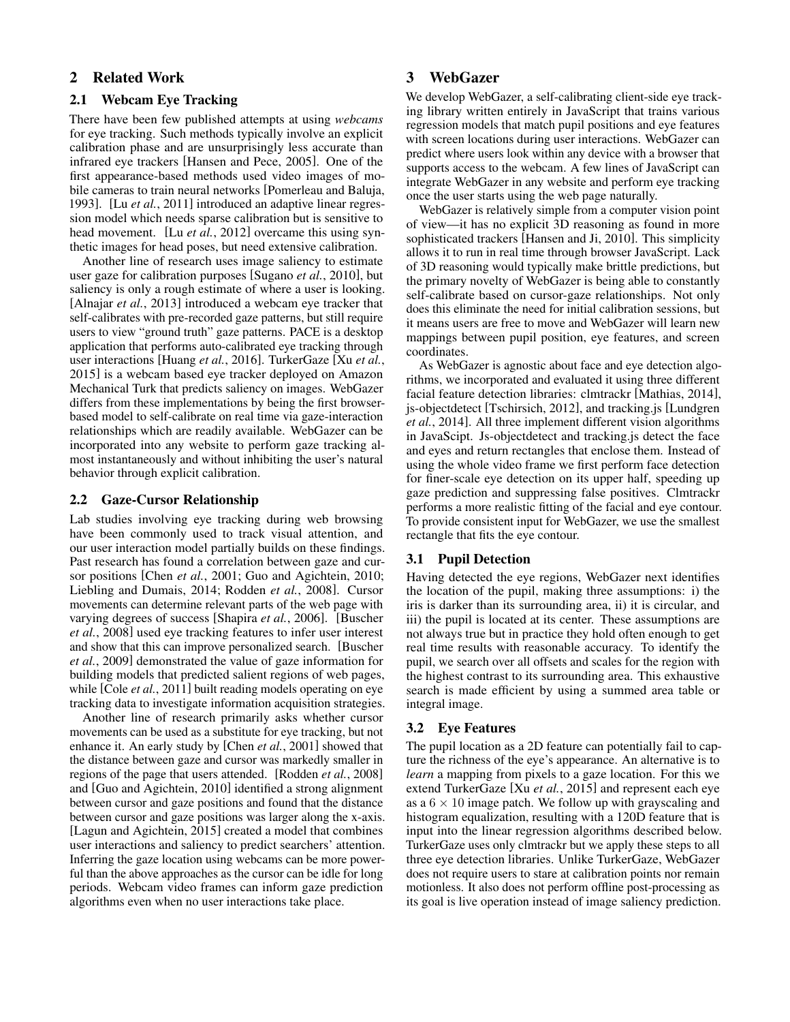## 2 Related Work

## 2.1 Webcam Eye Tracking

There have been few published attempts at using *webcams* for eye tracking. Such methods typically involve an explicit calibration phase and are unsurprisingly less accurate than infrared eye trackers [Hansen and Pece, 2005]. One of the first appearance-based methods used video images of mobile cameras to train neural networks [Pomerleau and Baluja, 1993]. [Lu *et al.*, 2011] introduced an adaptive linear regression model which needs sparse calibration but is sensitive to head movement. [Lu *et al.*, 2012] overcame this using synthetic images for head poses, but need extensive calibration.

Another line of research uses image saliency to estimate user gaze for calibration purposes [Sugano *et al.*, 2010], but saliency is only a rough estimate of where a user is looking. [Alnajar *et al.*, 2013] introduced a webcam eye tracker that self-calibrates with pre-recorded gaze patterns, but still require users to view "ground truth" gaze patterns. PACE is a desktop application that performs auto-calibrated eye tracking through user interactions [Huang *et al.*, 2016]. TurkerGaze [Xu *et al.*, 2015] is a webcam based eye tracker deployed on Amazon Mechanical Turk that predicts saliency on images. WebGazer differs from these implementations by being the first browserbased model to self-calibrate on real time via gaze-interaction relationships which are readily available. WebGazer can be incorporated into any website to perform gaze tracking almost instantaneously and without inhibiting the user's natural behavior through explicit calibration.

### 2.2 Gaze-Cursor Relationship

Lab studies involving eye tracking during web browsing have been commonly used to track visual attention, and our user interaction model partially builds on these findings. Past research has found a correlation between gaze and cursor positions [Chen *et al.*, 2001; Guo and Agichtein, 2010; Liebling and Dumais, 2014; Rodden *et al.*, 2008]. Cursor movements can determine relevant parts of the web page with varying degrees of success [Shapira *et al.*, 2006]. [Buscher *et al.*, 2008] used eye tracking features to infer user interest and show that this can improve personalized search. [Buscher *et al.*, 2009] demonstrated the value of gaze information for building models that predicted salient regions of web pages, while [Cole *et al.*, 2011] built reading models operating on eye tracking data to investigate information acquisition strategies.

Another line of research primarily asks whether cursor movements can be used as a substitute for eye tracking, but not enhance it. An early study by [Chen *et al.*, 2001] showed that the distance between gaze and cursor was markedly smaller in regions of the page that users attended. [Rodden *et al.*, 2008] and [Guo and Agichtein, 2010] identified a strong alignment between cursor and gaze positions and found that the distance between cursor and gaze positions was larger along the x-axis. [Lagun and Agichtein, 2015] created a model that combines user interactions and saliency to predict searchers' attention. Inferring the gaze location using webcams can be more powerful than the above approaches as the cursor can be idle for long periods. Webcam video frames can inform gaze prediction algorithms even when no user interactions take place.

## 3 WebGazer

We develop WebGazer, a self-calibrating client-side eye tracking library written entirely in JavaScript that trains various regression models that match pupil positions and eye features with screen locations during user interactions. WebGazer can predict where users look within any device with a browser that supports access to the webcam. A few lines of JavaScript can integrate WebGazer in any website and perform eye tracking once the user starts using the web page naturally.

WebGazer is relatively simple from a computer vision point of view—it has no explicit 3D reasoning as found in more sophisticated trackers [Hansen and Ji, 2010]. This simplicity allows it to run in real time through browser JavaScript. Lack of 3D reasoning would typically make brittle predictions, but the primary novelty of WebGazer is being able to constantly self-calibrate based on cursor-gaze relationships. Not only does this eliminate the need for initial calibration sessions, but it means users are free to move and WebGazer will learn new mappings between pupil position, eye features, and screen coordinates.

As WebGazer is agnostic about face and eye detection algorithms, we incorporated and evaluated it using three different facial feature detection libraries: clmtrackr [Mathias, 2014], js-objectdetect [Tschirsich, 2012], and tracking.js [Lundgren *et al.*, 2014]. All three implement different vision algorithms in JavaScipt. Js-objectdetect and tracking.js detect the face and eyes and return rectangles that enclose them. Instead of using the whole video frame we first perform face detection for finer-scale eye detection on its upper half, speeding up gaze prediction and suppressing false positives. Clmtrackr performs a more realistic fitting of the facial and eye contour. To provide consistent input for WebGazer, we use the smallest rectangle that fits the eye contour.

### 3.1 Pupil Detection

Having detected the eye regions, WebGazer next identifies the location of the pupil, making three assumptions: i) the iris is darker than its surrounding area, ii) it is circular, and iii) the pupil is located at its center. These assumptions are not always true but in practice they hold often enough to get real time results with reasonable accuracy. To identify the pupil, we search over all offsets and scales for the region with the highest contrast to its surrounding area. This exhaustive search is made efficient by using a summed area table or integral image.

### 3.2 Eye Features

The pupil location as a 2D feature can potentially fail to capture the richness of the eye's appearance. An alternative is to *learn* a mapping from pixels to a gaze location. For this we extend TurkerGaze [Xu *et al.*, 2015] and represent each eye as a  $6 \times 10$  image patch. We follow up with grayscaling and histogram equalization, resulting with a 120D feature that is input into the linear regression algorithms described below. TurkerGaze uses only clmtrackr but we apply these steps to all three eye detection libraries. Unlike TurkerGaze, WebGazer does not require users to stare at calibration points nor remain motionless. It also does not perform offline post-processing as its goal is live operation instead of image saliency prediction.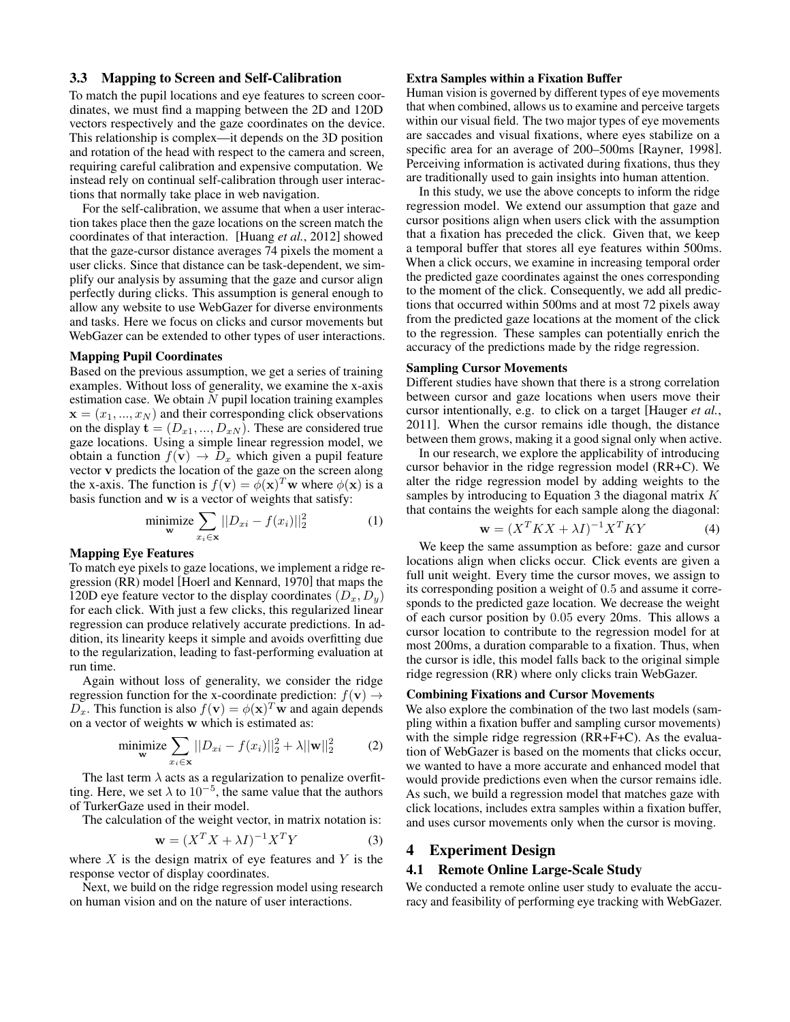### 3.3 Mapping to Screen and Self-Calibration

To match the pupil locations and eye features to screen coordinates, we must find a mapping between the 2D and 120D vectors respectively and the gaze coordinates on the device. This relationship is complex—it depends on the 3D position and rotation of the head with respect to the camera and screen, requiring careful calibration and expensive computation. We instead rely on continual self-calibration through user interactions that normally take place in web navigation.

For the self-calibration, we assume that when a user interaction takes place then the gaze locations on the screen match the coordinates of that interaction. [Huang *et al.*, 2012] showed that the gaze-cursor distance averages 74 pixels the moment a user clicks. Since that distance can be task-dependent, we simplify our analysis by assuming that the gaze and cursor align perfectly during clicks. This assumption is general enough to allow any website to use WebGazer for diverse environments and tasks. Here we focus on clicks and cursor movements but WebGazer can be extended to other types of user interactions.

#### Mapping Pupil Coordinates

Based on the previous assumption, we get a series of training examples. Without loss of generality, we examine the x-axis estimation case. We obtain  $N$  pupil location training examples  $\mathbf{x} = (x_1, ..., x_N)$  and their corresponding click observations on the display  $\mathbf{t} = (D_{x1},...,D_{xN})$ . These are considered true gaze locations. Using a simple linear regression model, we obtain a function  $f(\mathbf{v}) \to D_x$  which given a pupil feature vector v predicts the location of the gaze on the screen along the x-axis. The function is  $f(\mathbf{v}) = \phi(\mathbf{x})^T \mathbf{w}$  where  $\phi(\mathbf{x})$  is a basis function and w is a vector of weights that satisfy:

$$
\underset{\mathbf{w}}{\text{minimize}} \sum_{x_i \in \mathbf{x}} ||D_{xi} - f(x_i)||_2^2 \tag{1}
$$

#### Mapping Eye Features

To match eye pixels to gaze locations, we implement a ridge regression (RR) model [Hoerl and Kennard, 1970] that maps the 120D eye feature vector to the display coordinates  $(D_x, D_y)$ for each click. With just a few clicks, this regularized linear regression can produce relatively accurate predictions. In addition, its linearity keeps it simple and avoids overfitting due to the regularization, leading to fast-performing evaluation at run time.

Again without loss of generality, we consider the ridge regression function for the x-coordinate prediction:  $f(\mathbf{v}) \rightarrow$  $\overline{D_x}$ . This function is also  $f(\mathbf{v}) = \phi(\mathbf{x})^T \mathbf{w}$  and again depends on a vector of weights w which is estimated as:

minimize 
$$
\sum_{x_i \in \mathbf{x}} ||D_{xi} - f(x_i)||_2^2 + \lambda ||\mathbf{w}||_2^2
$$
 (2)

The last term  $\lambda$  acts as a regularization to penalize overfitting. Here, we set  $\lambda$  to  $10^{-5}$ , the same value that the authors of TurkerGaze used in their model.

The calculation of the weight vector, in matrix notation is:

$$
\mathbf{w} = (X^T X + \lambda I)^{-1} X^T Y \tag{3}
$$

where  $X$  is the design matrix of eye features and  $Y$  is the response vector of display coordinates.

Next, we build on the ridge regression model using research on human vision and on the nature of user interactions.

### Extra Samples within a Fixation Buffer

Human vision is governed by different types of eye movements that when combined, allows us to examine and perceive targets within our visual field. The two major types of eye movements are saccades and visual fixations, where eyes stabilize on a specific area for an average of 200–500ms [Rayner, 1998]. Perceiving information is activated during fixations, thus they are traditionally used to gain insights into human attention.

In this study, we use the above concepts to inform the ridge regression model. We extend our assumption that gaze and cursor positions align when users click with the assumption that a fixation has preceded the click. Given that, we keep a temporal buffer that stores all eye features within 500ms. When a click occurs, we examine in increasing temporal order the predicted gaze coordinates against the ones corresponding to the moment of the click. Consequently, we add all predictions that occurred within 500ms and at most 72 pixels away from the predicted gaze locations at the moment of the click to the regression. These samples can potentially enrich the accuracy of the predictions made by the ridge regression.

#### Sampling Cursor Movements

Different studies have shown that there is a strong correlation between cursor and gaze locations when users move their cursor intentionally, e.g. to click on a target [Hauger *et al.*, 2011]. When the cursor remains idle though, the distance between them grows, making it a good signal only when active.

In our research, we explore the applicability of introducing cursor behavior in the ridge regression model (RR+C). We alter the ridge regression model by adding weights to the samples by introducing to Equation 3 the diagonal matrix  $K$ that contains the weights for each sample along the diagonal:

$$
\mathbf{w} = (X^T K X + \lambda I)^{-1} X^T K Y \tag{4}
$$

We keep the same assumption as before: gaze and cursor locations align when clicks occur. Click events are given a full unit weight. Every time the cursor moves, we assign to its corresponding position a weight of 0.5 and assume it corresponds to the predicted gaze location. We decrease the weight of each cursor position by 0.05 every 20ms. This allows a cursor location to contribute to the regression model for at most 200ms, a duration comparable to a fixation. Thus, when the cursor is idle, this model falls back to the original simple ridge regression (RR) where only clicks train WebGazer.

### Combining Fixations and Cursor Movements

We also explore the combination of the two last models (sampling within a fixation buffer and sampling cursor movements) with the simple ridge regression (RR+F+C). As the evaluation of WebGazer is based on the moments that clicks occur, we wanted to have a more accurate and enhanced model that would provide predictions even when the cursor remains idle. As such, we build a regression model that matches gaze with click locations, includes extra samples within a fixation buffer, and uses cursor movements only when the cursor is moving.

## 4 Experiment Design

### 4.1 Remote Online Large-Scale Study

We conducted a remote online user study to evaluate the accuracy and feasibility of performing eye tracking with WebGazer.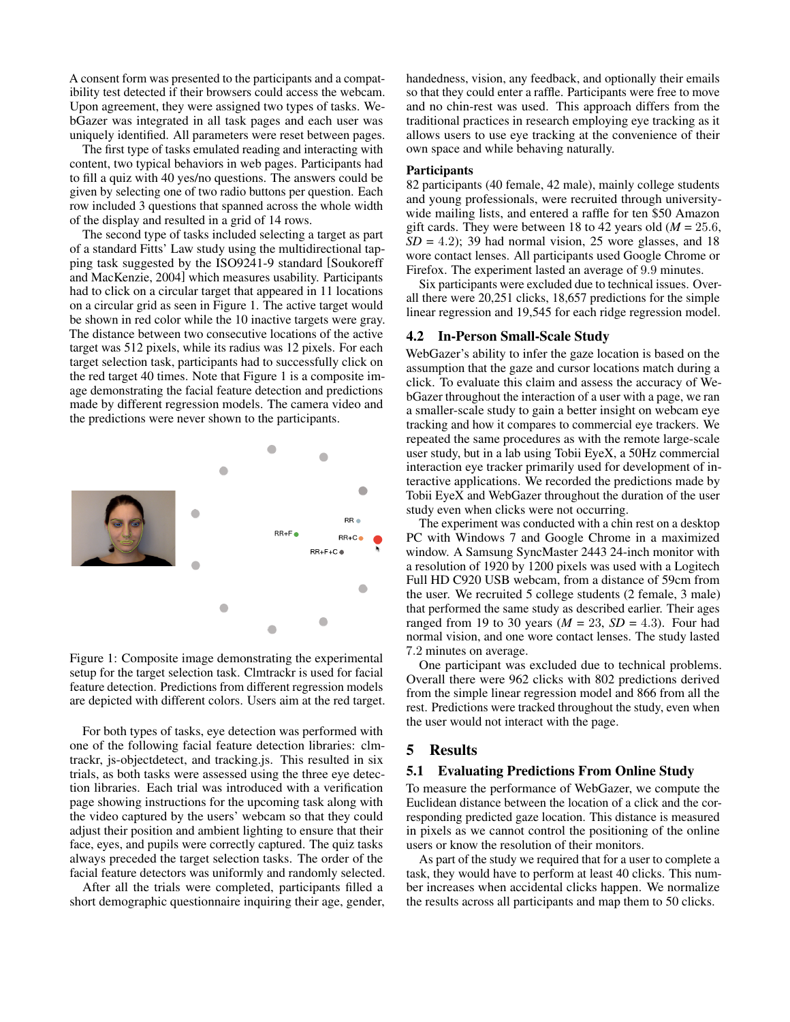A consent form was presented to the participants and a compatibility test detected if their browsers could access the webcam. Upon agreement, they were assigned two types of tasks. WebGazer was integrated in all task pages and each user was uniquely identified. All parameters were reset between pages.

The first type of tasks emulated reading and interacting with content, two typical behaviors in web pages. Participants had to fill a quiz with 40 yes/no questions. The answers could be given by selecting one of two radio buttons per question. Each row included 3 questions that spanned across the whole width of the display and resulted in a grid of 14 rows.

The second type of tasks included selecting a target as part of a standard Fitts' Law study using the multidirectional tapping task suggested by the ISO9241-9 standard [Soukoreff and MacKenzie, 2004] which measures usability. Participants had to click on a circular target that appeared in 11 locations on a circular grid as seen in Figure 1. The active target would be shown in red color while the 10 inactive targets were gray. The distance between two consecutive locations of the active target was 512 pixels, while its radius was 12 pixels. For each target selection task, participants had to successfully click on the red target 40 times. Note that Figure 1 is a composite image demonstrating the facial feature detection and predictions made by different regression models. The camera video and the predictions were never shown to the participants.



Figure 1: Composite image demonstrating the experimental setup for the target selection task. Clmtrackr is used for facial feature detection. Predictions from different regression models are depicted with different colors. Users aim at the red target.

For both types of tasks, eye detection was performed with one of the following facial feature detection libraries: clmtrackr, js-objectdetect, and tracking.js. This resulted in six trials, as both tasks were assessed using the three eye detection libraries. Each trial was introduced with a verification page showing instructions for the upcoming task along with the video captured by the users' webcam so that they could adjust their position and ambient lighting to ensure that their face, eyes, and pupils were correctly captured. The quiz tasks always preceded the target selection tasks. The order of the facial feature detectors was uniformly and randomly selected.

After all the trials were completed, participants filled a short demographic questionnaire inquiring their age, gender, handedness, vision, any feedback, and optionally their emails so that they could enter a raffle. Participants were free to move and no chin-rest was used. This approach differs from the traditional practices in research employing eye tracking as it allows users to use eye tracking at the convenience of their own space and while behaving naturally.

## **Participants**

82 participants (40 female, 42 male), mainly college students and young professionals, were recruited through universitywide mailing lists, and entered a raffle for ten \$50 Amazon gift cards. They were between 18 to 42 years old  $(M = 25.6,$  $SD = 4.2$ ; 39 had normal vision, 25 wore glasses, and 18 wore contact lenses. All participants used Google Chrome or Firefox. The experiment lasted an average of 9.9 minutes.

Six participants were excluded due to technical issues. Overall there were 20,251 clicks, 18,657 predictions for the simple linear regression and 19,545 for each ridge regression model.

#### 4.2 In-Person Small-Scale Study

WebGazer's ability to infer the gaze location is based on the assumption that the gaze and cursor locations match during a click. To evaluate this claim and assess the accuracy of WebGazer throughout the interaction of a user with a page, we ran a smaller-scale study to gain a better insight on webcam eye tracking and how it compares to commercial eye trackers. We repeated the same procedures as with the remote large-scale user study, but in a lab using Tobii EyeX, a 50Hz commercial interaction eye tracker primarily used for development of interactive applications. We recorded the predictions made by Tobii EyeX and WebGazer throughout the duration of the user study even when clicks were not occurring.

The experiment was conducted with a chin rest on a desktop PC with Windows 7 and Google Chrome in a maximized window. A Samsung SyncMaster 2443 24-inch monitor with a resolution of 1920 by 1200 pixels was used with a Logitech Full HD C920 USB webcam, from a distance of 59cm from the user. We recruited 5 college students (2 female, 3 male) that performed the same study as described earlier. Their ages ranged from 19 to 30 years  $(M = 23, SD = 4.3)$ . Four had normal vision, and one wore contact lenses. The study lasted 7.2 minutes on average.

One participant was excluded due to technical problems. Overall there were 962 clicks with 802 predictions derived from the simple linear regression model and 866 from all the rest. Predictions were tracked throughout the study, even when the user would not interact with the page.

### 5 Results

#### 5.1 Evaluating Predictions From Online Study

To measure the performance of WebGazer, we compute the Euclidean distance between the location of a click and the corresponding predicted gaze location. This distance is measured in pixels as we cannot control the positioning of the online users or know the resolution of their monitors.

As part of the study we required that for a user to complete a task, they would have to perform at least 40 clicks. This number increases when accidental clicks happen. We normalize the results across all participants and map them to 50 clicks.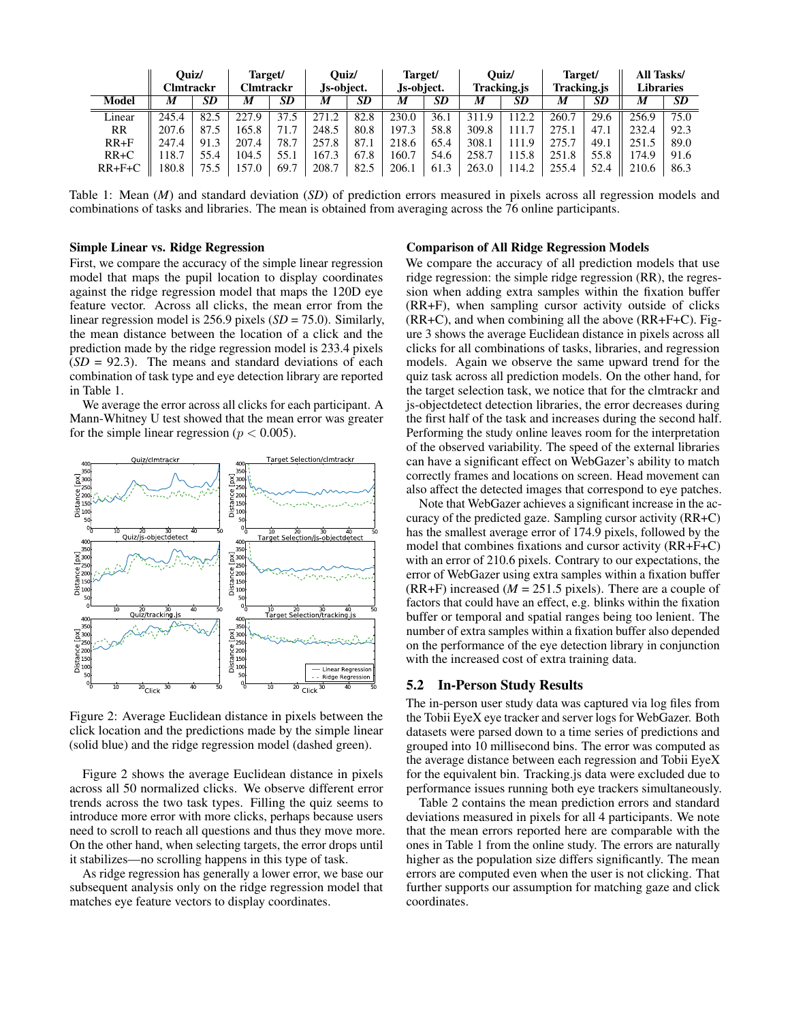|              | Ouiz/<br>Clmtrackr |           | Target/<br>Clmtrackr |           | Ouiz/<br>Js-object. |           | Target/<br>Js-object. |           | Ouiz/<br>Tracking.js |           | Target/<br>Tracking.js |           | All Tasks/<br><b>Libraries</b> |           |
|--------------|--------------------|-----------|----------------------|-----------|---------------------|-----------|-----------------------|-----------|----------------------|-----------|------------------------|-----------|--------------------------------|-----------|
| <b>Model</b> | M                  | <b>SD</b> | M                    | <b>SD</b> | M                   | <b>SD</b> | M                     | <b>SD</b> | M                    | <b>SD</b> | M                      | <b>SD</b> | M                              | <b>SD</b> |
| Linear       | 245.4              | 82.5      | 227.9                | 37.5      |                     | 82.8      | 230.0                 | 36.1      | 311.9                | 112.2     | 260.7                  | 29.6      | 256.9                          | 75.0      |
| <b>RR</b>    | 207.6              | 87.5      | 165.8                |           | 248.5               | 80.8      | 197.3                 | 58.8      | 309.8                | 111.7     | 275.1                  | 47.1      | 232.4                          | 92.3      |
| $RR + F$     | 247.4              | 91.3      | 207.4                | 78.7      | 257.8               | 87.1      | 218.6                 | 65.4      | 308.1                | 111.9     | 275.7                  | 49.1      | 251.5                          | 89.0      |
| $RR+C$       | 18.7               | 55.4      | 104.5                | 55.1      | 167.3               | 67.8      | 160.7                 | 54.6      | 258.7                | 115.8     | 251.8                  | 55.8      | 74.9                           | 91.6      |
| $RR + F + C$ | 180.8              | 75.5      | 157.0                | 69.7      | 208.7               | 82.5      | 206.1                 | 61.3      | 263.0                | 14.2      | 255.4                  | 52.4      | 210.6                          | 86.3      |

Table 1: Mean (*M*) and standard deviation (*SD*) of prediction errors measured in pixels across all regression models and combinations of tasks and libraries. The mean is obtained from averaging across the 76 online participants.

### Simple Linear vs. Ridge Regression

First, we compare the accuracy of the simple linear regression model that maps the pupil location to display coordinates against the ridge regression model that maps the 120D eye feature vector. Across all clicks, the mean error from the linear regression model is 256.9 pixels (*SD* = 75.0). Similarly, the mean distance between the location of a click and the prediction made by the ridge regression model is 233.4 pixels  $(SD = 92.3)$ . The means and standard deviations of each combination of task type and eye detection library are reported in Table 1.

We average the error across all clicks for each participant. A Mann-Whitney U test showed that the mean error was greater for the simple linear regression ( $p < 0.005$ ).



Figure 2: Average Euclidean distance in pixels between the click location and the predictions made by the simple linear (solid blue) and the ridge regression model (dashed green).

Figure 2 shows the average Euclidean distance in pixels across all 50 normalized clicks. We observe different error trends across the two task types. Filling the quiz seems to introduce more error with more clicks, perhaps because users need to scroll to reach all questions and thus they move more. On the other hand, when selecting targets, the error drops until it stabilizes—no scrolling happens in this type of task.

As ridge regression has generally a lower error, we base our subsequent analysis only on the ridge regression model that matches eye feature vectors to display coordinates.

### Comparison of All Ridge Regression Models

We compare the accuracy of all prediction models that use ridge regression: the simple ridge regression (RR), the regression when adding extra samples within the fixation buffer (RR+F), when sampling cursor activity outside of clicks (RR+C), and when combining all the above (RR+F+C). Figure 3 shows the average Euclidean distance in pixels across all clicks for all combinations of tasks, libraries, and regression models. Again we observe the same upward trend for the quiz task across all prediction models. On the other hand, for the target selection task, we notice that for the clmtrackr and js-objectdetect detection libraries, the error decreases during the first half of the task and increases during the second half. Performing the study online leaves room for the interpretation of the observed variability. The speed of the external libraries can have a significant effect on WebGazer's ability to match correctly frames and locations on screen. Head movement can also affect the detected images that correspond to eye patches.

Note that WebGazer achieves a significant increase in the accuracy of the predicted gaze. Sampling cursor activity (RR+C) has the smallest average error of 174.9 pixels, followed by the model that combines fixations and cursor activity (RR+F+C) with an error of 210.6 pixels. Contrary to our expectations, the error of WebGazer using extra samples within a fixation buffer  $(RR+F)$  increased  $(M = 251.5$  pixels). There are a couple of factors that could have an effect, e.g. blinks within the fixation buffer or temporal and spatial ranges being too lenient. The number of extra samples within a fixation buffer also depended on the performance of the eye detection library in conjunction with the increased cost of extra training data.

### 5.2 In-Person Study Results

The in-person user study data was captured via log files from the Tobii EyeX eye tracker and server logs for WebGazer. Both datasets were parsed down to a time series of predictions and grouped into 10 millisecond bins. The error was computed as the average distance between each regression and Tobii EyeX for the equivalent bin. Tracking.js data were excluded due to performance issues running both eye trackers simultaneously.

Table 2 contains the mean prediction errors and standard deviations measured in pixels for all 4 participants. We note that the mean errors reported here are comparable with the ones in Table 1 from the online study. The errors are naturally higher as the population size differs significantly. The mean errors are computed even when the user is not clicking. That further supports our assumption for matching gaze and click coordinates.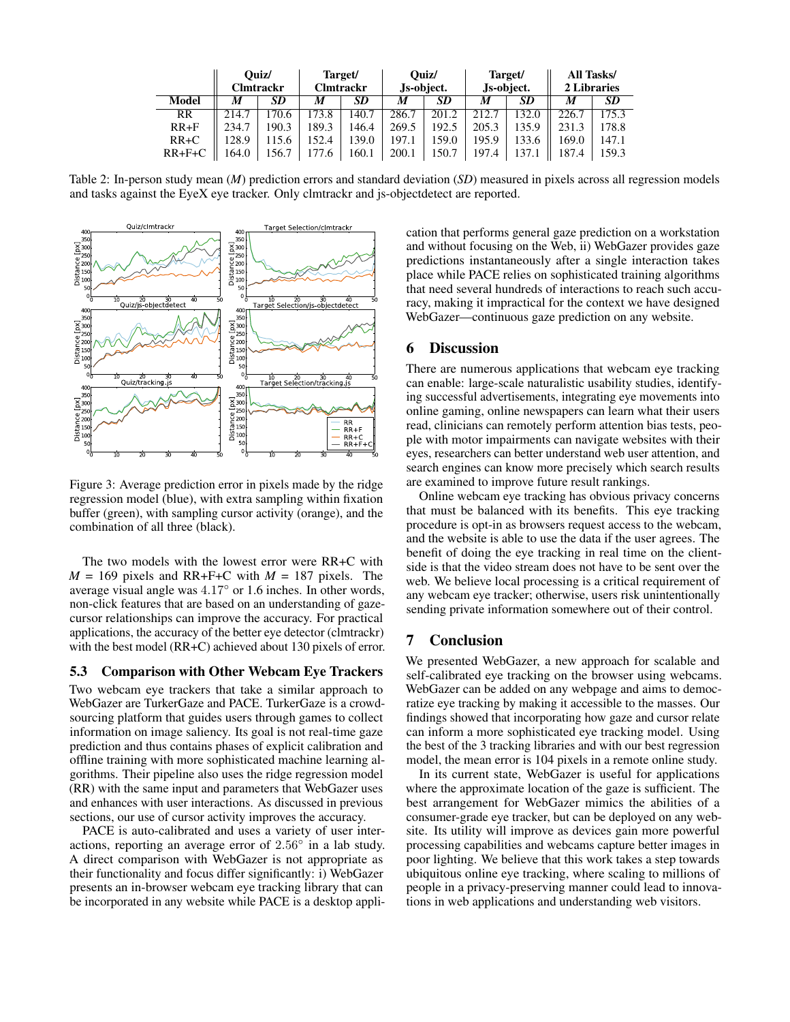|              | Ouiz/<br><b>Clmtrackr</b> |      | Target/<br>Clmtrackr |           |       | Ouiz/<br>Js-object. | Js-object. | Target/   | All Tasks/<br>2 Libraries |           |  |
|--------------|---------------------------|------|----------------------|-----------|-------|---------------------|------------|-----------|---------------------------|-----------|--|
| <b>Model</b> | M                         | SD   | M                    | <b>SD</b> | M     | <b>SD</b>           | M          | <b>SD</b> | M                         | <b>SD</b> |  |
| RR           | 214.7                     | 70.6 | 173.8                | 140.7     | 286.7 | 201.2               | 212.7      | 132.0     | 226.7                     | 175.3     |  |
| $RR + F$     | 234.7                     | 90.3 | 189.3                | 146.4     | 269.5 | 192.5               | 205.3      | 135.9     | 231.3                     | 178.8     |  |
| $RR+C$       | 128.9                     | 15.6 | 52.4                 | 139.0     | 197.1 | 159.0               | 195.9      | 133.6     | 169.0                     | 147.1     |  |
| $RR + F + C$ | 164.0                     | 56.7 | 177.6                | 160.1     | 200.1 | 150.7               | 197.4      | 137.1     | 187.4                     | 159.3     |  |

Table 2: In-person study mean (*M*) prediction errors and standard deviation (*SD*) measured in pixels across all regression models and tasks against the EyeX eye tracker. Only clmtrackr and js-objectdetect are reported.



Figure 3: Average prediction error in pixels made by the ridge regression model (blue), with extra sampling within fixation buffer (green), with sampling cursor activity (orange), and the combination of all three (black).

The two models with the lowest error were RR+C with  $M = 169$  pixels and RR+F+C with  $M = 187$  pixels. The average visual angle was 4.17◦ or 1.6 inches. In other words, non-click features that are based on an understanding of gazecursor relationships can improve the accuracy. For practical applications, the accuracy of the better eye detector (clmtrackr) with the best model (RR+C) achieved about 130 pixels of error.

### 5.3 Comparison with Other Webcam Eye Trackers

Two webcam eye trackers that take a similar approach to WebGazer are TurkerGaze and PACE. TurkerGaze is a crowdsourcing platform that guides users through games to collect information on image saliency. Its goal is not real-time gaze prediction and thus contains phases of explicit calibration and offline training with more sophisticated machine learning algorithms. Their pipeline also uses the ridge regression model (RR) with the same input and parameters that WebGazer uses and enhances with user interactions. As discussed in previous sections, our use of cursor activity improves the accuracy.

PACE is auto-calibrated and uses a variety of user interactions, reporting an average error of  $2.56^\circ$  in a lab study. A direct comparison with WebGazer is not appropriate as their functionality and focus differ significantly: i) WebGazer presents an in-browser webcam eye tracking library that can be incorporated in any website while PACE is a desktop application that performs general gaze prediction on a workstation and without focusing on the Web, ii) WebGazer provides gaze predictions instantaneously after a single interaction takes place while PACE relies on sophisticated training algorithms that need several hundreds of interactions to reach such accuracy, making it impractical for the context we have designed WebGazer—continuous gaze prediction on any website.

## 6 Discussion

There are numerous applications that webcam eye tracking can enable: large-scale naturalistic usability studies, identifying successful advertisements, integrating eye movements into online gaming, online newspapers can learn what their users read, clinicians can remotely perform attention bias tests, people with motor impairments can navigate websites with their eyes, researchers can better understand web user attention, and search engines can know more precisely which search results are examined to improve future result rankings.

Online webcam eye tracking has obvious privacy concerns that must be balanced with its benefits. This eye tracking procedure is opt-in as browsers request access to the webcam, and the website is able to use the data if the user agrees. The benefit of doing the eye tracking in real time on the clientside is that the video stream does not have to be sent over the web. We believe local processing is a critical requirement of any webcam eye tracker; otherwise, users risk unintentionally sending private information somewhere out of their control.

## 7 Conclusion

We presented WebGazer, a new approach for scalable and self-calibrated eye tracking on the browser using webcams. WebGazer can be added on any webpage and aims to democratize eye tracking by making it accessible to the masses. Our findings showed that incorporating how gaze and cursor relate can inform a more sophisticated eye tracking model. Using the best of the 3 tracking libraries and with our best regression model, the mean error is 104 pixels in a remote online study.

In its current state, WebGazer is useful for applications where the approximate location of the gaze is sufficient. The best arrangement for WebGazer mimics the abilities of a consumer-grade eye tracker, but can be deployed on any website. Its utility will improve as devices gain more powerful processing capabilities and webcams capture better images in poor lighting. We believe that this work takes a step towards ubiquitous online eye tracking, where scaling to millions of people in a privacy-preserving manner could lead to innovations in web applications and understanding web visitors.